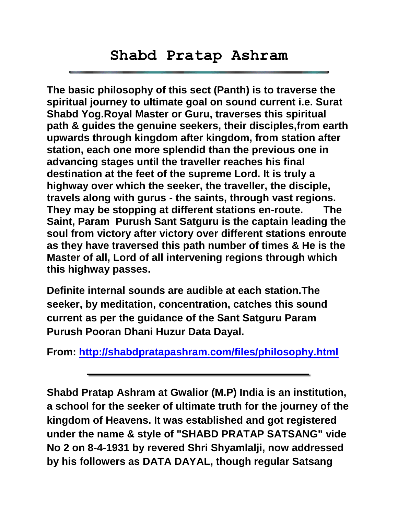**The basic philosophy of this sect (Panth) is to traverse the spiritual journey to ultimate goal on sound current i.e. Surat Shabd Yog.Royal Master or Guru, traverses this spiritual path & guides the genuine seekers, their disciples,from earth upwards through kingdom after kingdom, from station after station, each one more splendid than the previous one in advancing stages until the traveller reaches his final destination at the feet of the supreme Lord. It is truly a highway over which the seeker, the traveller, the disciple, travels along with gurus - the saints, through vast regions. They may be stopping at different stations en-route. The Saint, Param Purush Sant Satguru is the captain leading the soul from victory after victory over different stations enroute as they have traversed this path number of times & He is the Master of all, Lord of all intervening regions through which this highway passes.** 

**Definite internal sounds are audible at each station.The seeker, by meditation, concentration, catches this sound current as per the guidance of the Sant Satguru Param Purush Pooran Dhani Huzur Data Dayal.**

**From:<http://shabdpratapashram.com/files/philosophy.html>**

**Shabd Pratap Ashram at Gwalior (M.P) India is an institution, a school for the seeker of ultimate truth for the journey of the kingdom of Heavens. It was established and got registered under the name & style of "SHABD PRATAP SATSANG" vide No 2 on 8-4-1931 by revered Shri Shyamlalji, now addressed by his followers as DATA DAYAL, though regular Satsang**